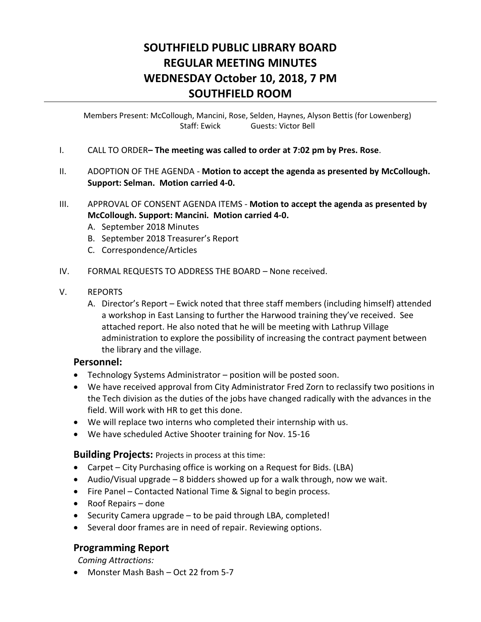# **SOUTHFIELD PUBLIC LIBRARY BOARD REGULAR MEETING MINUTES WEDNESDAY October 10, 2018, 7 PM SOUTHFIELD ROOM**

Members Present: McCollough, Mancini, Rose, Selden, Haynes, Alyson Bettis (for Lowenberg) Staff: Ewick Guests: Victor Bell

- I. CALL TO ORDER**– The meeting was called to order at 7:02 pm by Pres. Rose**.
- II. ADOPTION OF THE AGENDA **Motion to accept the agenda as presented by McCollough. Support: Selman. Motion carried 4-0.**
- III. APPROVAL OF CONSENT AGENDA ITEMS **Motion to accept the agenda as presented by McCollough. Support: Mancini. Motion carried 4-0.** 
	- A. September 2018 Minutes
	- B. September 2018 Treasurer's Report
	- C. Correspondence/Articles
- IV. FORMAL REQUESTS TO ADDRESS THE BOARD None received.
- V. REPORTS
	- A. Director's Report Ewick noted that three staff members (including himself) attended a workshop in East Lansing to further the Harwood training they've received. See attached report. He also noted that he will be meeting with Lathrup Village administration to explore the possibility of increasing the contract payment between the library and the village.

### **Personnel:**

- Technology Systems Administrator position will be posted soon.
- We have received approval from City Administrator Fred Zorn to reclassify two positions in the Tech division as the duties of the jobs have changed radically with the advances in the field. Will work with HR to get this done.
- We will replace two interns who completed their internship with us.
- We have scheduled Active Shooter training for Nov. 15-16

**Building Projects:** Projects in process at this time:

- Carpet City Purchasing office is working on a Request for Bids. (LBA)
- Audio/Visual upgrade 8 bidders showed up for a walk through, now we wait.
- Fire Panel Contacted National Time & Signal to begin process.
- Roof Repairs done
- $\bullet$  Security Camera upgrade to be paid through LBA, completed!
- Several door frames are in need of repair. Reviewing options.

## **Programming Report**

 *Coming Attractions:*

• Monster Mash Bash – Oct 22 from 5-7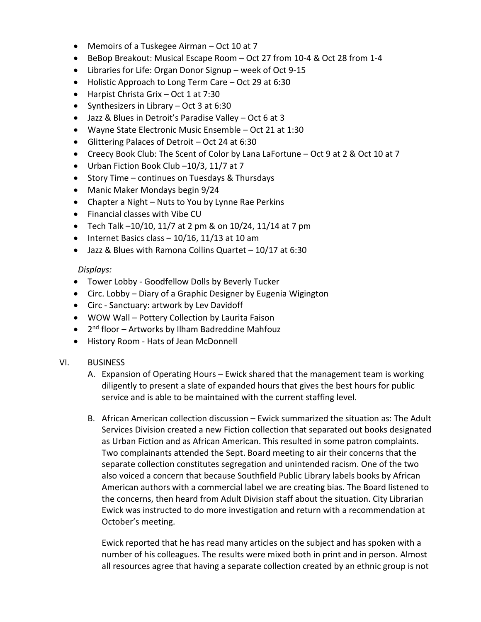- Memoirs of a Tuskegee Airman Oct 10 at 7
- BeBop Breakout: Musical Escape Room Oct 27 from 10-4 & Oct 28 from 1-4
- Libraries for Life: Organ Donor Signup week of Oct 9-15
- Holistic Approach to Long Term Care Oct 29 at 6:30
- Harpist Christa Grix Oct 1 at 7:30
- Synthesizers in Library Oct 3 at  $6:30$
- Jazz & Blues in Detroit's Paradise Valley Oct 6 at 3
- Wayne State Electronic Music Ensemble Oct 21 at 1:30
- Glittering Palaces of Detroit Oct 24 at 6:30
- Creecy Book Club: The Scent of Color by Lana LaFortune Oct 9 at 2 & Oct 10 at 7
- Urban Fiction Book Club -10/3, 11/7 at 7
- Story Time continues on Tuesdays & Thursdays
- Manic Maker Mondays begin 9/24
- Chapter a Night Nuts to You by Lynne Rae Perkins
- Financial classes with Vibe CU
- Tech Talk  $-10/10$ , 11/7 at 2 pm & on 10/24, 11/14 at 7 pm
- $\bullet$  Internet Basics class 10/16, 11/13 at 10 am
- Jazz & Blues with Ramona Collins Quartet 10/17 at 6:30

#### *Displays:*

- Tower Lobby Goodfellow Dolls by Beverly Tucker
- Circ. Lobby Diary of a Graphic Designer by Eugenia Wigington
- Circ Sanctuary: artwork by Lev Davidoff
- WOW Wall Pottery Collection by Laurita Faison
- 2<sup>nd</sup> floor Artworks by Ilham Badreddine Mahfouz
- History Room Hats of Jean McDonnell

#### VI. BUSINESS

- A. Expansion of Operating Hours Ewick shared that the management team is working diligently to present a slate of expanded hours that gives the best hours for public service and is able to be maintained with the current staffing level.
- B. African American collection discussion Ewick summarized the situation as: The Adult Services Division created a new Fiction collection that separated out books designated as Urban Fiction and as African American. This resulted in some patron complaints. Two complainants attended the Sept. Board meeting to air their concerns that the separate collection constitutes segregation and unintended racism. One of the two also voiced a concern that because Southfield Public Library labels books by African American authors with a commercial label we are creating bias. The Board listened to the concerns, then heard from Adult Division staff about the situation. City Librarian Ewick was instructed to do more investigation and return with a recommendation at October's meeting.

Ewick reported that he has read many articles on the subject and has spoken with a number of his colleagues. The results were mixed both in print and in person. Almost all resources agree that having a separate collection created by an ethnic group is not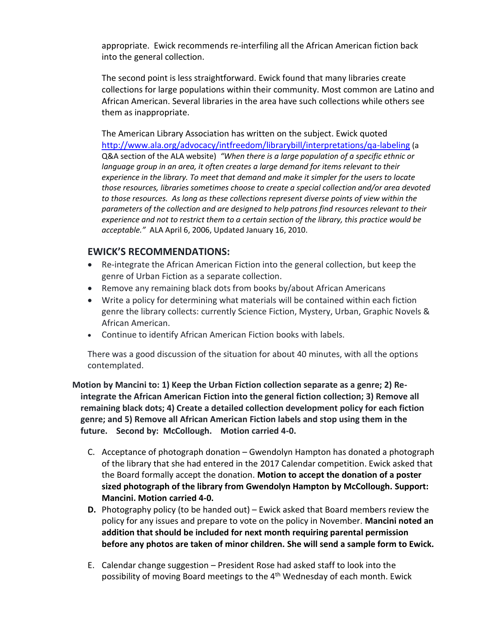appropriate. Ewick recommends re-interfiling all the African American fiction back into the general collection.

The second point is less straightforward. Ewick found that many libraries create collections for large populations within their community. Most common are Latino and African American. Several libraries in the area have such collections while others see them as inappropriate.

The American Library Association has written on the subject. Ewick quoted <http://www.ala.org/advocacy/intfreedom/librarybill/interpretations/qa-labeling> (a Q&A section of the ALA website) *"When there is a large population of a specific ethnic or language group in an area, it often creates a large demand for items relevant to their experience in the library. To meet that demand and make it simpler for the users to locate those resources, libraries sometimes choose to create a special collection and/or area devoted to those resources. As long as these collections represent diverse points of view within the parameters of the collection and are designed to help patrons find resources relevant to their experience and not to restrict them to a certain section of the library, this practice would be acceptable."* ALA April 6, 2006, Updated January 16, 2010.

## **EWICK'S RECOMMENDATIONS:**

- Re-integrate the African American Fiction into the general collection, but keep the genre of Urban Fiction as a separate collection.
- Remove any remaining black dots from books by/about African Americans
- Write a policy for determining what materials will be contained within each fiction genre the library collects: currently Science Fiction, Mystery, Urban, Graphic Novels & African American.
- Continue to identify African American Fiction books with labels.

There was a good discussion of the situation for about 40 minutes, with all the options contemplated.

 **Motion by Mancini to: 1) Keep the Urban Fiction collection separate as a genre; 2) Reintegrate the African American Fiction into the general fiction collection; 3) Remove all remaining black dots; 4) Create a detailed collection development policy for each fiction genre; and 5) Remove all African American Fiction labels and stop using them in the future. Second by: McCollough. Motion carried 4-0.** 

- C. Acceptance of photograph donation Gwendolyn Hampton has donated a photograph of the library that she had entered in the 2017 Calendar competition. Ewick asked that the Board formally accept the donation. **Motion to accept the donation of a poster sized photograph of the library from Gwendolyn Hampton by McCollough. Support: Mancini. Motion carried 4-0.**
- **D.** Photography policy (to be handed out) Ewick asked that Board members review the policy for any issues and prepare to vote on the policy in November. **Mancini noted an addition that should be included for next month requiring parental permission before any photos are taken of minor children. She will send a sample form to Ewick.**
- E. Calendar change suggestion President Rose had asked staff to look into the possibility of moving Board meetings to the 4<sup>th</sup> Wednesday of each month. Ewick